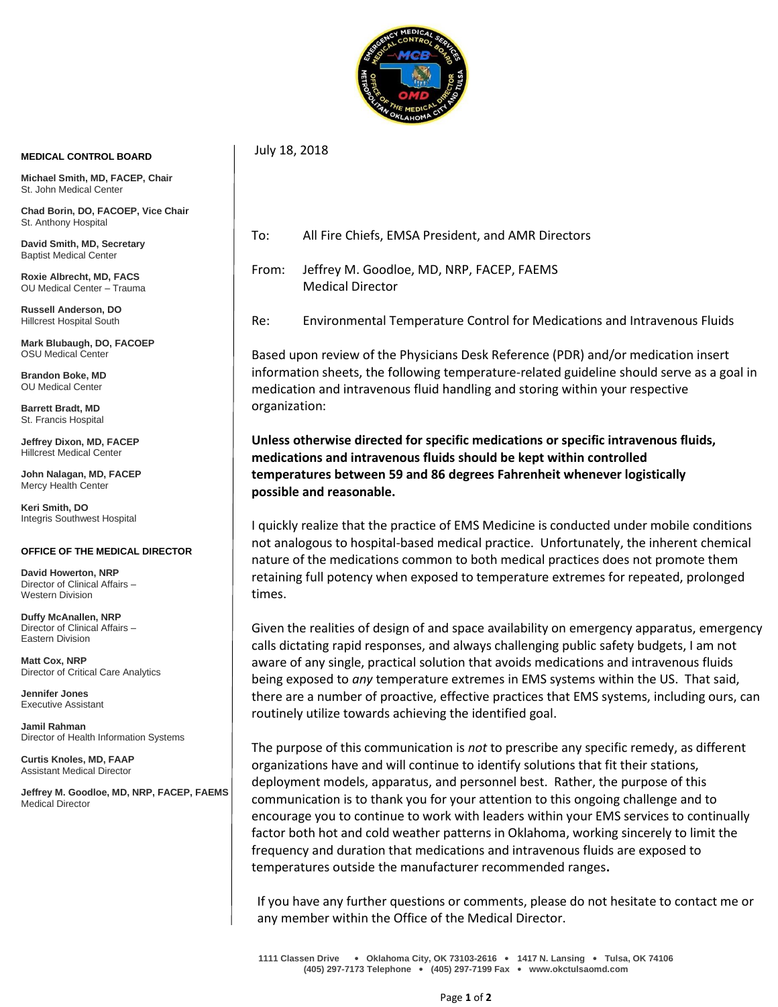

July 18, 2018

## **MEDICAL CONTROL BOARD**

**Michael Smith, MD, FACEP, Chair** St. John Medical Center

**Chad Borin, DO, FACOEP, Vice Chair**  St. Anthony Hospital

**David Smith, MD, Secretary** Baptist Medical Center

**Roxie Albrecht, MD, FACS** OU Medical Center – Trauma

**Russell Anderson, DO** Hillcrest Hospital South

**Mark Blubaugh, DO, FACOEP** OSU Medical Center

**Brandon Boke, MD** OU Medical Center

**Barrett Bradt, MD** St. Francis Hospital

**Jeffrey Dixon, MD, FACEP** Hillcrest Medical Center

**John Nalagan, MD, FACEP** Mercy Health Center

**Keri Smith, DO** Integris Southwest Hospital

## **OFFICE OF THE MEDICAL DIRECTOR**

**David Howerton, NRP** Director of Clinical Affairs – Western Division

**Duffy McAnallen, NRP** Director of Clinical Affairs – Eastern Division

**Matt Cox, NRP** Director of Critical Care Analytics

**Jennifer Jones** Executive Assistant

**Jamil Rahman** Director of Health Information Systems

**Curtis Knoles, MD, FAAP** Assistant Medical Director

**Jeffrey M. Goodloe, MD, NRP, FACEP, FAEMS** Medical Director

- To: All Fire Chiefs, EMSA President, and AMR Directors
- From: Jeffrey M. Goodloe, MD, NRP, FACEP, FAEMS Medical Director
- Re: Environmental Temperature Control for Medications and Intravenous Fluids

Based upon review of the Physicians Desk Reference (PDR) and/or medication insert information sheets, the following temperature-related guideline should serve as a goal in medication and intravenous fluid handling and storing within your respective organization:

**Unless otherwise directed for specific medications or specific intravenous fluids, medications and intravenous fluids should be kept within controlled temperatures between 59 and 86 degrees Fahrenheit whenever logistically possible and reasonable.**

I quickly realize that the practice of EMS Medicine is conducted under mobile conditions not analogous to hospital-based medical practice. Unfortunately, the inherent chemical nature of the medications common to both medical practices does not promote them retaining full potency when exposed to temperature extremes for repeated, prolonged times.

Given the realities of design of and space availability on emergency apparatus, emergency calls dictating rapid responses, and always challenging public safety budgets, I am not aware of any single, practical solution that avoids medications and intravenous fluids being exposed to *any* temperature extremes in EMS systems within the US. That said, there are a number of proactive, effective practices that EMS systems, including ours, can routinely utilize towards achieving the identified goal.

The purpose of this communication is *not* to prescribe any specific remedy, as different organizations have and will continue to identify solutions that fit their stations, deployment models, apparatus, and personnel best. Rather, the purpose of this communication is to thank you for your attention to this ongoing challenge and to encourage you to continue to work with leaders within your EMS services to continually factor both hot and cold weather patterns in Oklahoma, working sincerely to limit the frequency and duration that medications and intravenous fluids are exposed to temperatures outside the manufacturer recommended ranges**.**

If you have any further questions or comments, please do not hesitate to contact me or any member within the Office of the Medical Director.

**1111 Classen Drive** • **Oklahoma City, OK 73103-2616** • **1417 N. Lansing** • **Tulsa, OK 74106 (405) 297-7173 Telephone** • **(405) 297-7199 Fax** • **www.okctulsaomd.com**